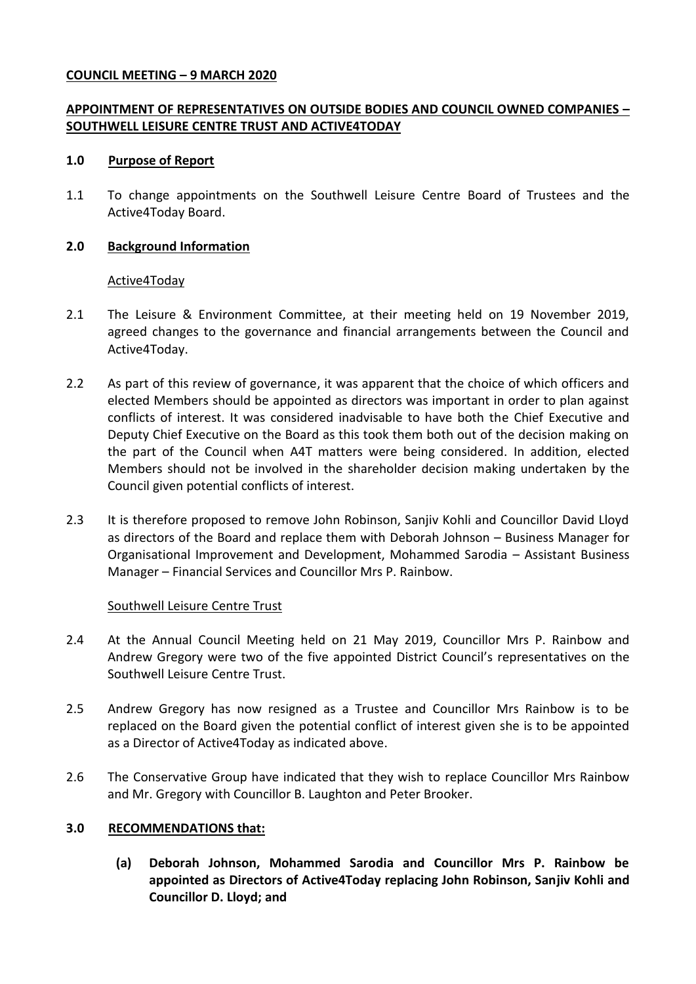## **COUNCIL MEETING – 9 MARCH 2020**

# **APPOINTMENT OF REPRESENTATIVES ON OUTSIDE BODIES AND COUNCIL OWNED COMPANIES – SOUTHWELL LEISURE CENTRE TRUST AND ACTIVE4TODAY**

#### **1.0 Purpose of Report**

1.1 To change appointments on the Southwell Leisure Centre Board of Trustees and the Active4Today Board.

## **2.0 Background Information**

## Active4Today

- 2.1 The Leisure & Environment Committee, at their meeting held on 19 November 2019, agreed changes to the governance and financial arrangements between the Council and Active4Today.
- 2.2 As part of this review of governance, it was apparent that the choice of which officers and elected Members should be appointed as directors was important in order to plan against conflicts of interest. It was considered inadvisable to have both the Chief Executive and Deputy Chief Executive on the Board as this took them both out of the decision making on the part of the Council when A4T matters were being considered. In addition, elected Members should not be involved in the shareholder decision making undertaken by the Council given potential conflicts of interest.
- 2.3 It is therefore proposed to remove John Robinson, Sanjiv Kohli and Councillor David Lloyd as directors of the Board and replace them with Deborah Johnson – Business Manager for Organisational Improvement and Development, Mohammed Sarodia – Assistant Business Manager – Financial Services and Councillor Mrs P. Rainbow.

#### Southwell Leisure Centre Trust

- 2.4 At the Annual Council Meeting held on 21 May 2019, Councillor Mrs P. Rainbow and Andrew Gregory were two of the five appointed District Council's representatives on the Southwell Leisure Centre Trust.
- 2.5 Andrew Gregory has now resigned as a Trustee and Councillor Mrs Rainbow is to be replaced on the Board given the potential conflict of interest given she is to be appointed as a Director of Active4Today as indicated above.
- 2.6 The Conservative Group have indicated that they wish to replace Councillor Mrs Rainbow and Mr. Gregory with Councillor B. Laughton and Peter Brooker.

# **3.0 RECOMMENDATIONS that:**

**(a) Deborah Johnson, Mohammed Sarodia and Councillor Mrs P. Rainbow be appointed as Directors of Active4Today replacing John Robinson, Sanjiv Kohli and Councillor D. Lloyd; and**